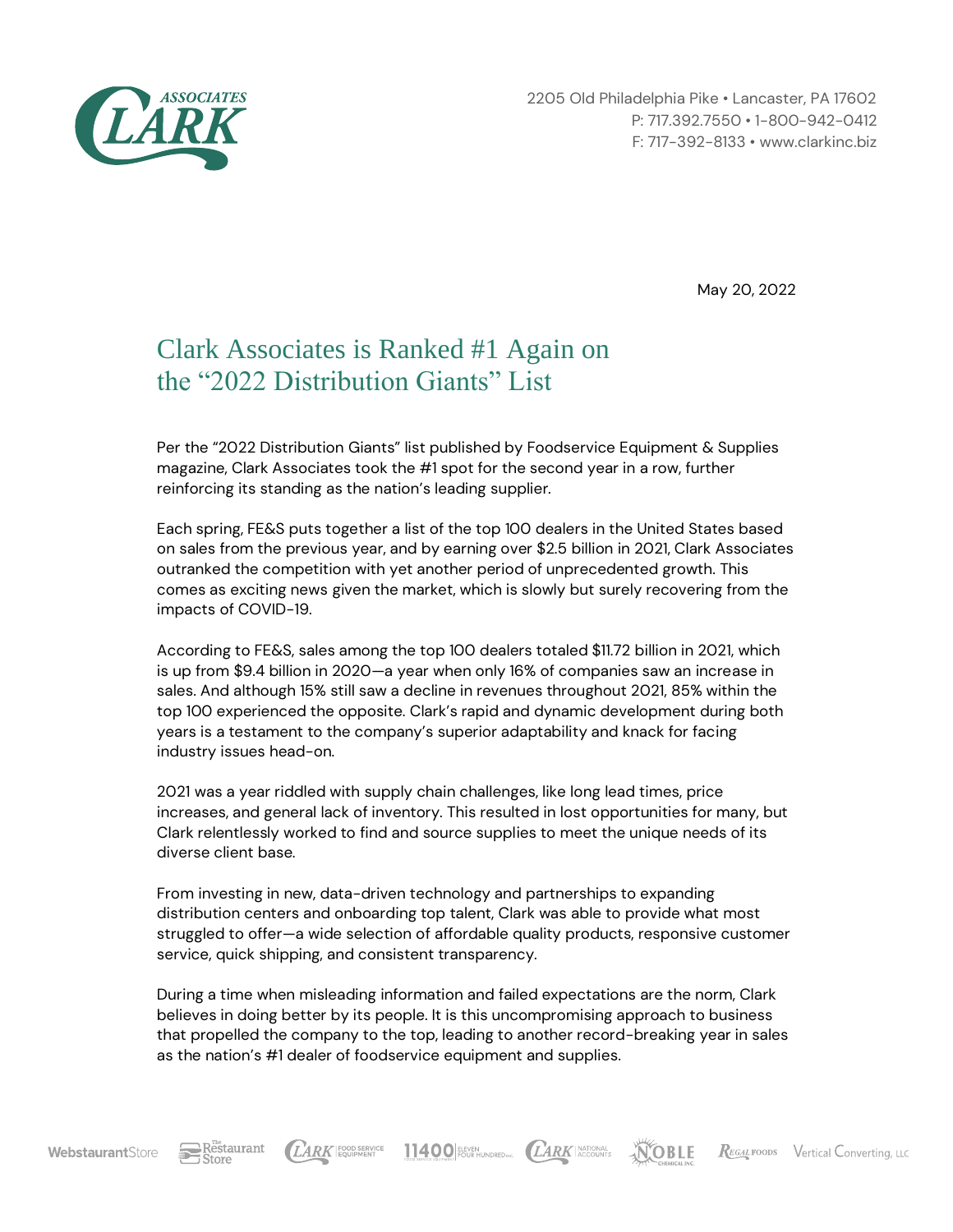

2205 Old Philadelphia Pike • Lancaster, PA 17602 P: 717.392.7550 • 1-800-942-0412 F: 717-392-8133 • www.clarkinc.biz

May 20, 2022

## Clark Associates is Ranked #1 Again on the "2022 Distribution Giants" List

Per the "2022 Distribution Giants" list published by Foodservice Equipment & Supplies magazine, Clark Associates took the #1 spot for the second year in a row, further reinforcing its standing as the nation's leading supplier.

Each spring, FE&S puts together a list of the top 100 dealers in the United States based on sales from the previous year, and by earning over \$2.5 billion in 2021, Clark Associates outranked the competition with yet another period of unprecedented growth. This comes as exciting news given the market, which is slowly but surely recovering from the impacts of COVID-19.

According to FE&S, sales among the top 100 dealers totaled \$11.72 billion in 2021, which is up from \$9.4 billion in 2020—a year when only 16% of companies saw an increase in sales. And although 15% still saw a decline in revenues throughout 2021, 85% within the top 100 experienced the opposite. Clark's rapid and dynamic development during both years is a testament to the company's superior adaptability and knack for facing industry issues head-on.

2021 was a year riddled with supply chain challenges, like long lead times, price increases, and general lack of inventory. This resulted in lost opportunities for many, but Clark relentlessly worked to find and source supplies to meet the unique needs of its diverse client base.

From investing in new, data-driven technology and partnerships to expanding distribution centers and onboarding top talent, Clark was able to provide what most struggled to offer—a wide selection of affordable quality products, responsive customer service, quick shipping, and consistent transparency.

During a time when misleading information and failed expectations are the norm, Clark believes in doing better by its people. It is this uncompromising approach to business that propelled the company to the top, leading to another record-breaking year in sales as the nation's #1 dealer of foodservice equipment and supplies.

LARK FOOD SERVICE

11400 FUST HUNDRED NC. (LARK ACCOUNTS

**NOBLE**